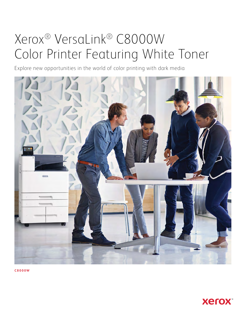# Xerox® VersaLink® C8000W Color Printer Featuring White Toner

Explore new opportunities in the world of color printing with dark media



**C8000W**

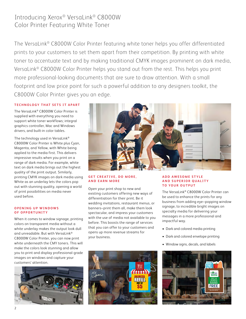# Introducing Xerox® VersaLink® C8000W Color Printer Featuring White Toner

The VersaLink® C8000W Color Printer featuring white toner helps you offer differentiated prints to your customers to set them apart from their competition. By printing with white toner to accentuate text and by making traditional CMYK images prominent on dark media, VersaLink® C8000W Color Printer helps you stand out from the rest. This helps you print more professional-looking documents that are sure to draw attention. With a small footprint and low price point for such a powerful addition to any designers toolkit, the C8000W Color Printer gives you an edge.

## **TECHNOLOGY THAT SETS IT APART**

The VersaLink® C8000W Color Printer is supplied with everything you need to support white toner workflows; integral graphics controller, Mac and Windows drivers, and built-in color tables.

The technology used in VersaLink® C8000W Color Printer is White plus Cyan, Magenta, and Yellow, with White being applied to the media first. This delivers impressive results when you print on a range of dark media. For example, white text on dark media brings out the highest quality of the print output. Similarly, printing CMYK images on dark media using White as an underlay lets the colors pop out with stunning quality, opening a world of print possibilities on media never used before.

#### **OPENING UP WINDOWS OF OPPORTUNITY**

When it comes to window signage, printing colors on transparent media without a white underlay makes the output look dull and unreadable. But with VersaLink® C8000W Color Printer, you can now print white underneath the CMY toners. This will make the colors look stunning and allow you to print and display professional-grade images on windows and capture your customers' attention.





### **GET CREATIVE, DO MORE, AND EARN MORE**

Open your print shop to new and existing customers offering new ways of differentiation for their print. Be it wedding invitations, restaurant menus, or banners–print them all, make them look spectacular, and impress your customers with the use of media not available to you before. This boosts the range of services that you can offer to your customers and opens up more revenue streams for your business.

83 I II



The VersaLink® C8000W Color Printer can be used to enhance the prints for any business from adding eye–popping window signage, to incredible bright images on specialty media for delivering your messages in a more professional and impactful way.

- Dark and colored media printing
- Dark and colored envelope printing
- Window signs, decals, and labels

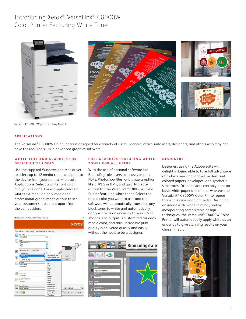# Introducing Xerox® VersaLink® C8000W Color Printer Featuring White Toner







VersaLink® C8000W plus Two Tray Module

#### **A P PLICATIONS**

The VersaLink® C8000W Color Printer is designed for a variety of users – general office suite users, designers, and others who may not have the required skills in advanced graphics software.

#### WHITE TEXT AND GRAPHICS FOR **OFFICE SUITE USERS**

Use the supplied Windows and Mac driver to select up to 12 media colors and print to the device from your normal Microsoft Applications. Select a white font color, and you are done. For example, create a white text menu on dark media for professional-grade image output to set your customer's restaurant apart from the competition.



#### **FULL GRAPHICS FEATURING WHITE T O N E R F O R A L L U S E R S**

With the use of optional software like BiancoDigitale, users can easily import PDFs, Photoshop files, or bitmap graphics like a JPEG or BMP, and quickly create output for the VersaLink® C8000W Color Printer featuring white toner. Select the media color you want to use, and the software will automatically transpose any black toner to white and automatically apply white as an underlay to your CMYK images. The output is customized for each media color, and thus, incredible print quality is delivered quickly and easily without the need to be a designer.



#### **DESIGNERS**

Designers using the Adobe suite will delight in being able to take full advantage of today's new and innovative dark and colored papers, envelopes, and synthetic substrates. Other devices can only print on basic white paper and media, whereas the VersaLink® C8000W Color Printer opens this whole new world of media. Designing an image with 'white in mind', and by incorporating some simple design techniques, the VersaLink® C8000W Color Printer will automatically apply white as an underlay to give stunning results on your chosen media.